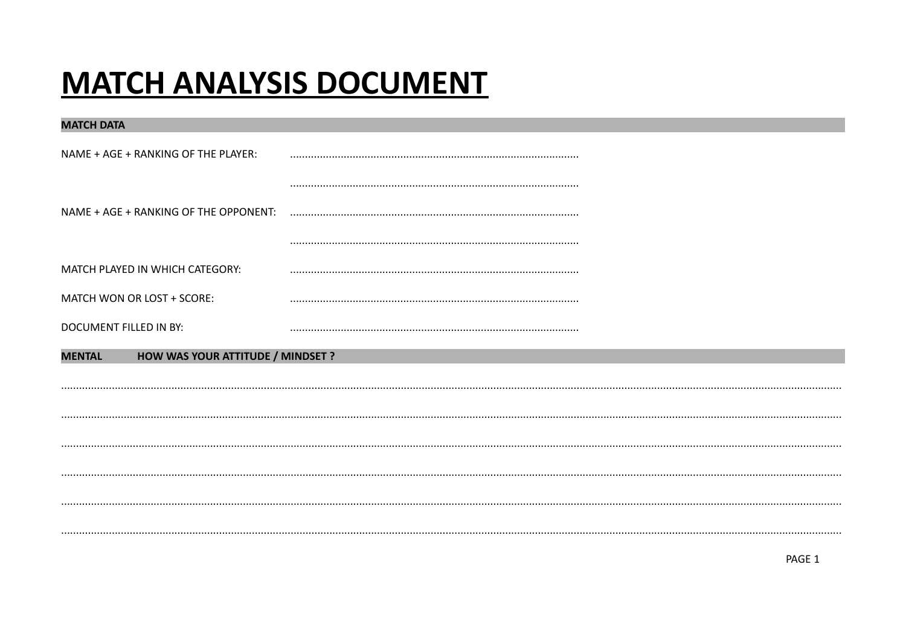# **MATCH ANALYSIS DOCUMENT**

| <b>MATCH DATA</b>                                  |  |
|----------------------------------------------------|--|
| NAME + AGE + RANKING OF THE PLAYER:                |  |
|                                                    |  |
| NAME + AGE + RANKING OF THE OPPONENT:              |  |
|                                                    |  |
| MATCH PLAYED IN WHICH CATEGORY:                    |  |
| MATCH WON OR LOST + SCORE:                         |  |
| DOCUMENT FILLED IN BY:                             |  |
| HOW WAS YOUR ATTITUDE / MINDSET ?<br><b>MENTAL</b> |  |
|                                                    |  |
|                                                    |  |
|                                                    |  |
|                                                    |  |
|                                                    |  |
|                                                    |  |
|                                                    |  |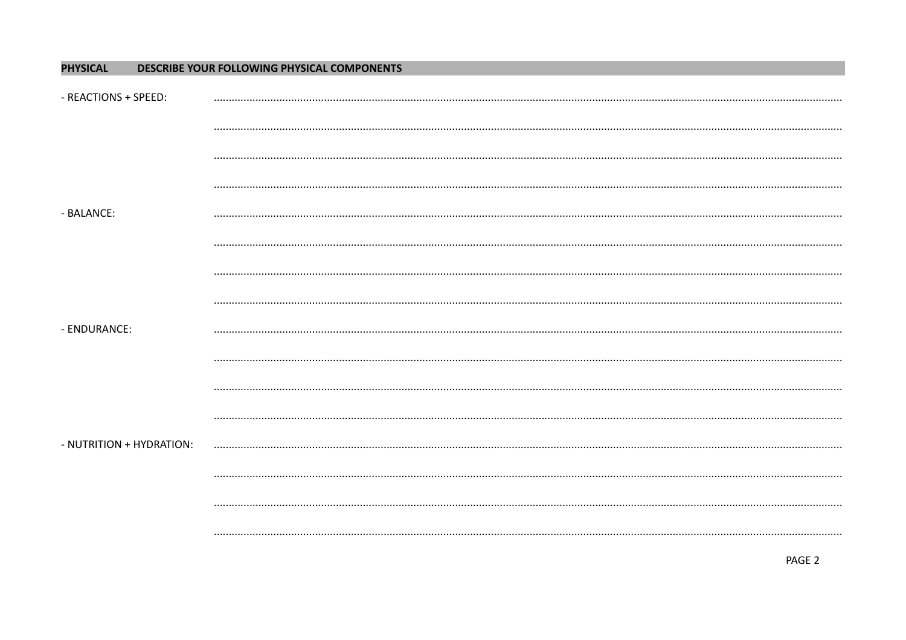#### **PHYSICAL** DESCRIBE YOUR FOLLOWING PHYSICAL COMPONENTS

| - REACTIONS + SPEED:     |  |
|--------------------------|--|
|                          |  |
|                          |  |
|                          |  |
| <b>BALANCE:</b>          |  |
|                          |  |
|                          |  |
|                          |  |
| - ENDURANCE:             |  |
|                          |  |
|                          |  |
|                          |  |
| - NUTRITION + HYDRATION: |  |
|                          |  |
|                          |  |
|                          |  |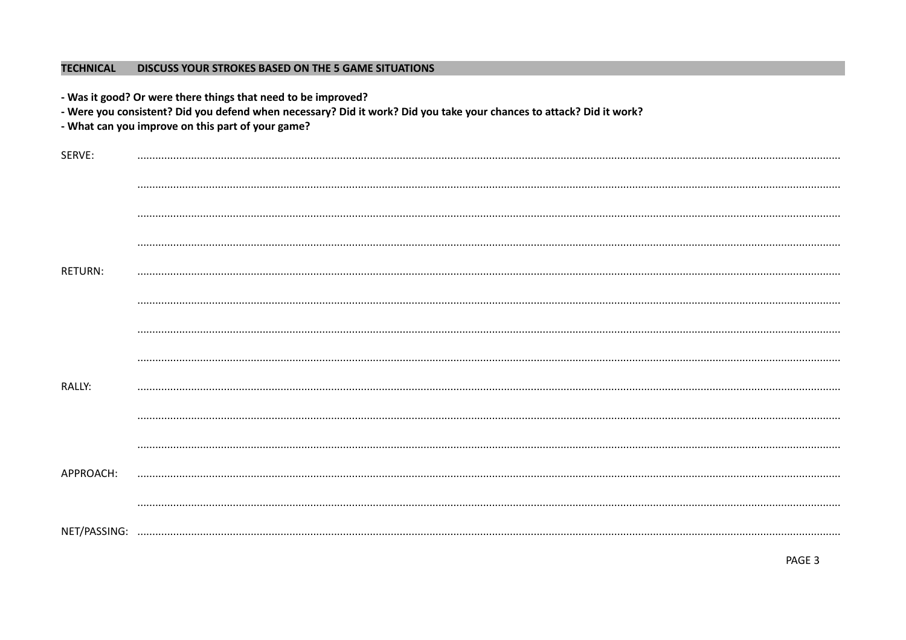## TECHNICAL DISCUSS YOUR STROKES BASED ON THE 5 GAME SITUATIONS

|                | - Was it good? Or were there things that need to be improved?<br>- Were you consistent? Did you defend when necessary? Did it work? Did you take your chances to attack? Did it work?<br>- What can you improve on this part of your game? |
|----------------|--------------------------------------------------------------------------------------------------------------------------------------------------------------------------------------------------------------------------------------------|
| SERVE:         |                                                                                                                                                                                                                                            |
|                |                                                                                                                                                                                                                                            |
|                |                                                                                                                                                                                                                                            |
|                |                                                                                                                                                                                                                                            |
| <b>RETURN:</b> |                                                                                                                                                                                                                                            |
|                |                                                                                                                                                                                                                                            |
|                |                                                                                                                                                                                                                                            |
|                |                                                                                                                                                                                                                                            |
| RALLY:         |                                                                                                                                                                                                                                            |
|                |                                                                                                                                                                                                                                            |
|                |                                                                                                                                                                                                                                            |
| APPROACH:      |                                                                                                                                                                                                                                            |
|                |                                                                                                                                                                                                                                            |
| NET/PASSING:   |                                                                                                                                                                                                                                            |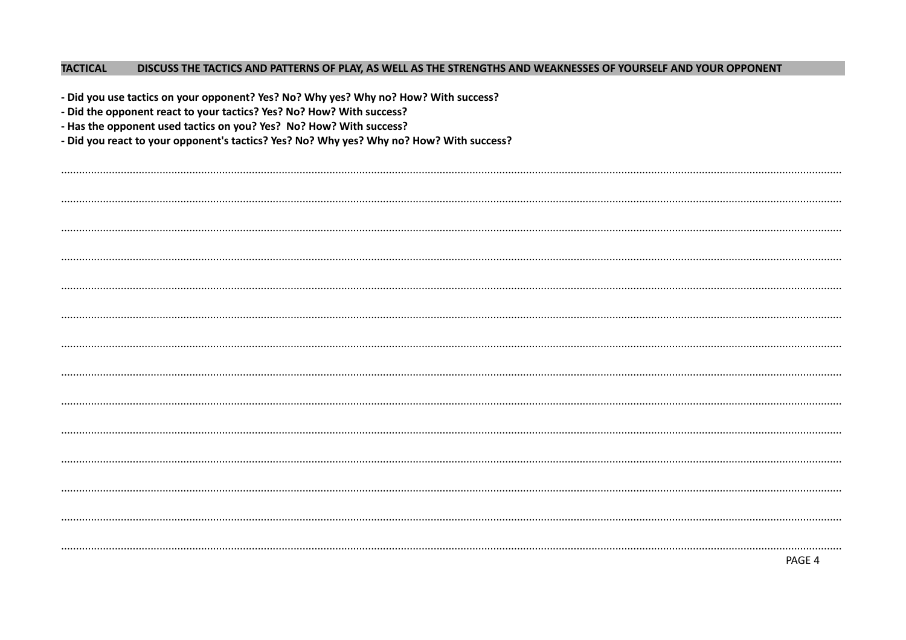#### **TACTICAL** DISCUSS THE TACTICS AND PATTERNS OF PLAY, AS WELL AS THE STRENGTHS AND WEAKNESSES OF YOURSELF AND YOUR OPPONENT

| - Did you use tactics on your opponent? Yes? No? Why yes? Why no? How? With success?<br>- Did the opponent react to your tactics? Yes? No? How? With success?<br>- Has the opponent used tactics on you? Yes? No? How? With success?<br>- Did you react to your opponent's tactics? Yes? No? Why yes? Why no? How? With success? |  |  |  |  |
|----------------------------------------------------------------------------------------------------------------------------------------------------------------------------------------------------------------------------------------------------------------------------------------------------------------------------------|--|--|--|--|
|                                                                                                                                                                                                                                                                                                                                  |  |  |  |  |
|                                                                                                                                                                                                                                                                                                                                  |  |  |  |  |
|                                                                                                                                                                                                                                                                                                                                  |  |  |  |  |
|                                                                                                                                                                                                                                                                                                                                  |  |  |  |  |
|                                                                                                                                                                                                                                                                                                                                  |  |  |  |  |
|                                                                                                                                                                                                                                                                                                                                  |  |  |  |  |
|                                                                                                                                                                                                                                                                                                                                  |  |  |  |  |
|                                                                                                                                                                                                                                                                                                                                  |  |  |  |  |
|                                                                                                                                                                                                                                                                                                                                  |  |  |  |  |
|                                                                                                                                                                                                                                                                                                                                  |  |  |  |  |
|                                                                                                                                                                                                                                                                                                                                  |  |  |  |  |
|                                                                                                                                                                                                                                                                                                                                  |  |  |  |  |
|                                                                                                                                                                                                                                                                                                                                  |  |  |  |  |
| PAGE 4                                                                                                                                                                                                                                                                                                                           |  |  |  |  |